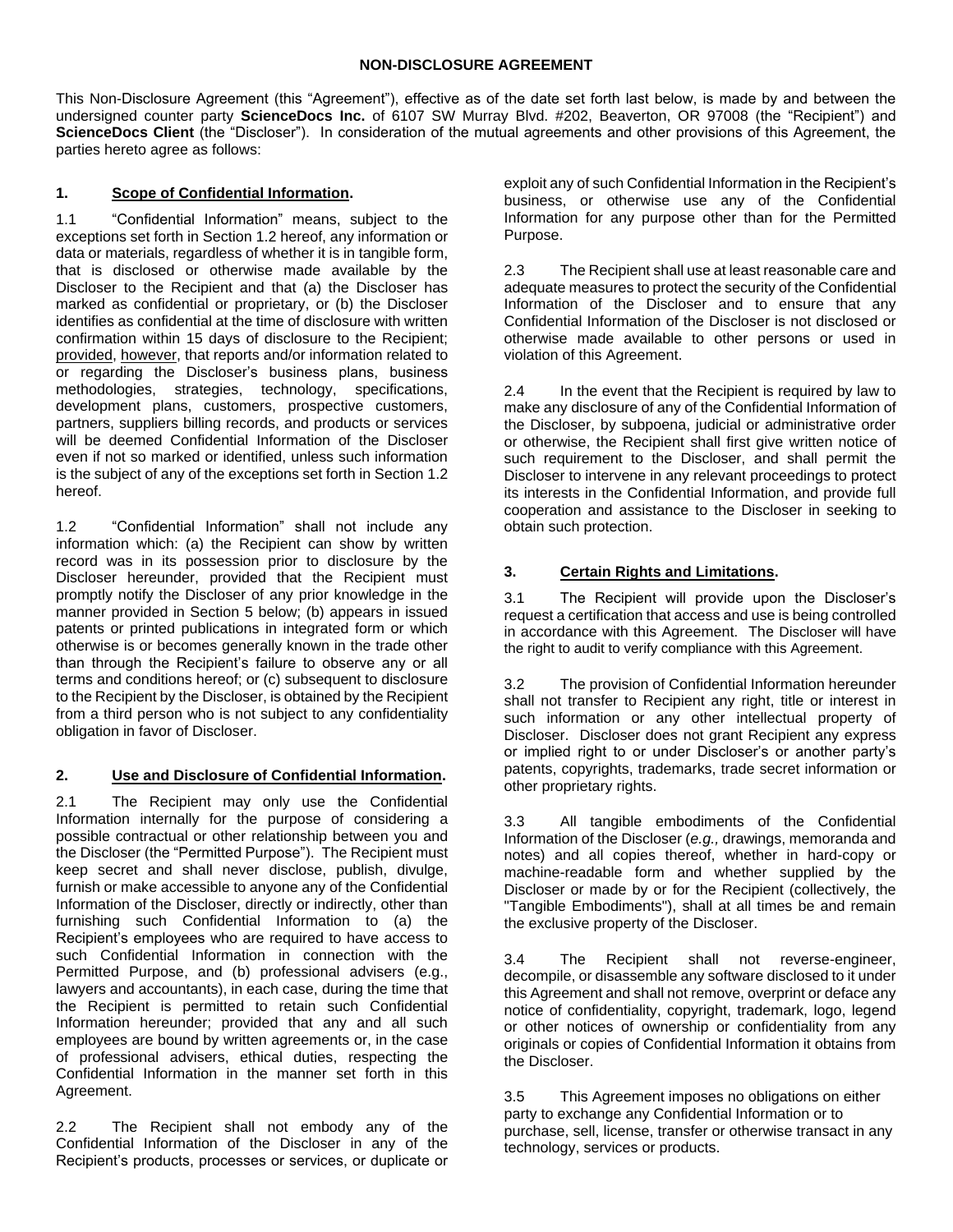This Non-Disclosure Agreement (this "Agreement"), effective as of the date set forth last below, is made by and between the undersigned counter party **ScienceDocs Inc.** of 6107 SW Murray Blvd. #202, Beaverton, OR 97008 (the "Recipient") and **ScienceDocs Client** (the "Discloser"). In consideration of the mutual agreements and other provisions of this Agreement, the parties hereto agree as follows:

## **1. Scope of Confidential Information.**

1.1 "Confidential Information" means, subject to the exceptions set forth in Sectio[n 1.2](#page-0-0) hereof, any information or data or materials, regardless of whether it is in tangible form, that is disclosed or otherwise made available by the Discloser to the Recipient and that (a) the Discloser has marked as confidential or proprietary, or (b) the Discloser identifies as confidential at the time of disclosure with written confirmation within 15 days of disclosure to the Recipient; provided, however, that reports and/or information related to or regarding the Discloser's business plans, business methodologies, strategies, technology, specifications, development plans, customers, prospective customers, partners, suppliers billing records, and products or services will be deemed Confidential Information of the Discloser even if not so marked or identified, unless such information is the subject of any of the exceptions set forth in Section [1.2](#page-0-0) hereof.

<span id="page-0-0"></span>1.2 "Confidential Information" shall not include any information which: (a) the Recipient can show by written record was in its possession prior to disclosure by the Discloser hereunder, provided that the Recipient must promptly notify the Discloser of any prior knowledge in the manner provided in Section [5](#page-1-0) below; (b) appears in issued patents or printed publications in integrated form or which otherwise is or becomes generally known in the trade other than through the Recipient's failure to observe any or all terms and conditions hereof; or (c) subsequent to disclosure to the Recipient by the Discloser, is obtained by the Recipient from a third person who is not subject to any confidentiality obligation in favor of Discloser.

#### **2. Use and Disclosure of Confidential Information.**

2.1 The Recipient may only use the Confidential Information internally for the purpose of considering a possible contractual or other relationship between you and the Discloser (the "Permitted Purpose"). The Recipient must keep secret and shall never disclose, publish, divulge, furnish or make accessible to anyone any of the Confidential Information of the Discloser, directly or indirectly, other than furnishing such Confidential Information to (a) the Recipient's employees who are required to have access to such Confidential Information in connection with the Permitted Purpose, and (b) professional advisers (e.g., lawyers and accountants), in each case, during the time that the Recipient is permitted to retain such Confidential Information hereunder; provided that any and all such employees are bound by written agreements or, in the case of professional advisers, ethical duties, respecting the Confidential Information in the manner set forth in this Agreement.

2.2 The Recipient shall not embody any of the Confidential Information of the Discloser in any of the Recipient's products, processes or services, or duplicate or exploit any of such Confidential Information in the Recipient's business, or otherwise use any of the Confidential Information for any purpose other than for the Permitted Purpose.

2.3 The Recipient shall use at least reasonable care and adequate measures to protect the security of the Confidential Information of the Discloser and to ensure that any Confidential Information of the Discloser is not disclosed or otherwise made available to other persons or used in violation of this Agreement.

2.4 In the event that the Recipient is required by law to make any disclosure of any of the Confidential Information of the Discloser, by subpoena, judicial or administrative order or otherwise, the Recipient shall first give written notice of such requirement to the Discloser, and shall permit the Discloser to intervene in any relevant proceedings to protect its interests in the Confidential Information, and provide full cooperation and assistance to the Discloser in seeking to obtain such protection.

### **3. Certain Rights and Limitations.**

3.1 The Recipient will provide upon the Discloser's request a certification that access and use is being controlled in accordance with this Agreement. The Discloser will have the right to audit to verify compliance with this Agreement.

<span id="page-0-1"></span>3.2 The provision of Confidential Information hereunder shall not transfer to Recipient any right, title or interest in such information or any other intellectual property of Discloser. Discloser does not grant Recipient any express or implied right to or under Discloser's or another party's patents, copyrights, trademarks, trade secret information or other proprietary rights.

3.3 All tangible embodiments of the Confidential Information of the Discloser (*e.g.,* drawings, memoranda and notes) and all copies thereof, whether in hard-copy or machine-readable form and whether supplied by the Discloser or made by or for the Recipient (collectively, the "Tangible Embodiments"), shall at all times be and remain the exclusive property of the Discloser.

3.4 The Recipient shall not reverse-engineer, decompile, or disassemble any software disclosed to it under this Agreement and shall not remove, overprint or deface any notice of confidentiality, copyright, trademark, logo, legend or other notices of ownership or confidentiality from any originals or copies of Confidential Information it obtains from the Discloser.

3.5 This Agreement imposes no obligations on either party to exchange any Confidential Information or to purchase, sell, license, transfer or otherwise transact in any technology, services or products.